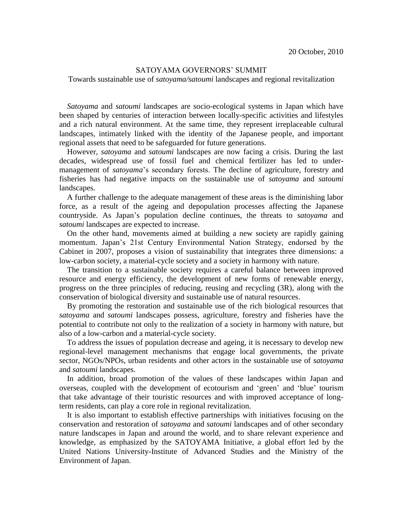## SATOYAMA GOVERNORS' SUMMIT

Towards sustainable use of *satoyama/satoumi* landscapes and regional revitalization

*Satoyama* and *satoumi* landscapes are socio-ecological systems in Japan which have been shaped by centuries of interaction between locally-specific activities and lifestyles and a rich natural environment. At the same time, they represent irreplaceable cultural landscapes, intimately linked with the identity of the Japanese people, and important regional assets that need to be safeguarded for future generations.

However, *satoyama* and *satoumi* landscapes are now facing a crisis. During the last decades, widespread use of fossil fuel and chemical fertilizer has led to undermanagement of *satoyama*'s secondary forests. The decline of agriculture, forestry and fisheries has had negative impacts on the sustainable use of *satoyama* and *satoumi* landscapes.

A further challenge to the adequate management of these areas is the diminishing labor force, as a result of the ageing and depopulation processes affecting the Japanese countryside. As Japan's population decline continues, the threats to *satoyama* and *satoumi* landscapes are expected to increase.

On the other hand, movements aimed at building a new society are rapidly gaining momentum. Japan's 21st Century Environmental Nation Strategy, endorsed by the Cabinet in 2007, proposes a vision of sustainability that integrates three dimensions: a low-carbon society, a material-cycle society and a society in harmony with nature.

The transition to a sustainable society requires a careful balance between improved resource and energy efficiency, the development of new forms of renewable energy, progress on the three principles of reducing, reusing and recycling (3R), along with the conservation of biological diversity and sustainable use of natural resources.

By promoting the restoration and sustainable use of the rich biological resources that *satoyama* and *satoumi* landscapes possess, agriculture, forestry and fisheries have the potential to contribute not only to the realization of a society in harmony with nature, but also of a low-carbon and a material-cycle society.

To address the issues of population decrease and ageing, it is necessary to develop new regional-level management mechanisms that engage local governments, the private sector, NGOs/NPOs, urban residents and other actors in the sustainable use of *satoyama* and *satoumi* landscapes.

In addition, broad promotion of the values of these landscapes within Japan and overseas, coupled with the development of ecotourism and 'green' and 'blue' tourism that take advantage of their touristic resources and with improved acceptance of longterm residents, can play a core role in regional revitalization.

It is also important to establish effective partnerships with initiatives focusing on the conservation and restoration of *satoyama* and *satoumi* landscapes and of other secondary nature landscapes in Japan and around the world, and to share relevant experience and knowledge, as emphasized by the SATOYAMA Initiative, a global effort led by the United Nations University-Institute of Advanced Studies and the Ministry of the Environment of Japan.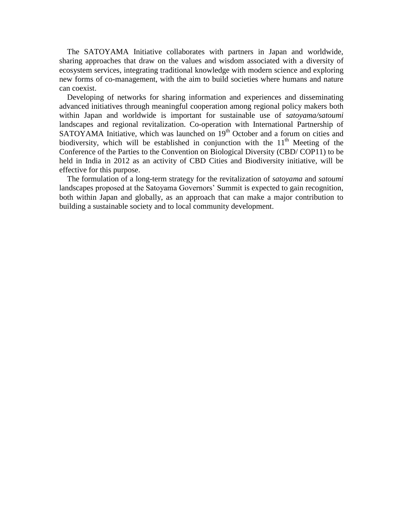The SATOYAMA Initiative collaborates with partners in Japan and worldwide, sharing approaches that draw on the values and wisdom associated with a diversity of ecosystem services, integrating traditional knowledge with modern science and exploring new forms of co-management, with the aim to build societies where humans and nature can coexist.

Developing of networks for sharing information and experiences and disseminating advanced initiatives through meaningful cooperation among regional policy makers both within Japan and worldwide is important for sustainable use of *satoyama/satoumi* landscapes and regional revitalization. Co-operation with International Partnership of SATOYAMA Initiative, which was launched on 19<sup>th</sup> October and a forum on cities and biodiversity, which will be established in conjunction with the  $11<sup>th</sup>$  Meeting of the Conference of the Parties to the Convention on Biological Diversity (CBD/ COP11) to be held in India in 2012 as an activity of CBD Cities and Biodiversity initiative, will be effective for this purpose.

The formulation of a long-term strategy for the revitalization of *satoyama* and *satoumi* landscapes proposed at the Satoyama Governors' Summit is expected to gain recognition, both within Japan and globally, as an approach that can make a major contribution to building a sustainable society and to local community development.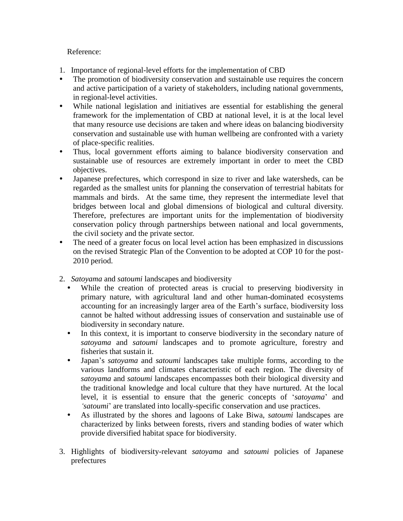## Reference:

- 1. Importance of regional-level efforts for the implementation of CBD
- The promotion of biodiversity conservation and sustainable use requires the concern and active participation of a variety of stakeholders, including national governments, in regional-level activities.
- While national legislation and initiatives are essential for establishing the general framework for the implementation of CBD at national level, it is at the local level that many resource use decisions are taken and where ideas on balancing biodiversity conservation and sustainable use with human wellbeing are confronted with a variety of place-specific realities.
- Thus, local government efforts aiming to balance biodiversity conservation and sustainable use of resources are extremely important in order to meet the CBD objectives.
- Japanese prefectures, which correspond in size to river and lake watersheds, can be regarded as the smallest units for planning the conservation of terrestrial habitats for mammals and birds. At the same time, they represent the intermediate level that bridges between local and global dimensions of biological and cultural diversity. Therefore, prefectures are important units for the implementation of biodiversity conservation policy through partnerships between national and local governments, the civil society and the private sector.
- The need of a greater focus on local level action has been emphasized in discussions on the revised Strategic Plan of the Convention to be adopted at COP 10 for the post-2010 period.
- 2. *Satoyama* and *satoumi* landscapes and biodiversity
	- While the creation of protected areas is crucial to preserving biodiversity in primary nature, with agricultural land and other human-dominated ecosystems accounting for an increasingly larger area of the Earth's surface, biodiversity loss cannot be halted without addressing issues of conservation and sustainable use of biodiversity in secondary nature.
	- In this context, it is important to conserve biodiversity in the secondary nature of *satoyama* and *satoumi* landscapes and to promote agriculture, forestry and fisheries that sustain it.
	- Japan's *satoyama* and *satoumi* landscapes take multiple forms, according to the various landforms and climates characteristic of each region. The diversity of *satoyama* and *satoumi* landscapes encompasses both their biological diversity and the traditional knowledge and local culture that they have nurtured. At the local level, it is essential to ensure that the generic concepts of '*satoyama*' and *'satoumi*' are translated into locally-specific conservation and use practices.
	- As illustrated by the shores and lagoons of Lake Biwa, *satoumi* landscapes are characterized by links between forests, rivers and standing bodies of water which provide diversified habitat space for biodiversity.
- 3. Highlights of biodiversity-relevant *satoyama* and *satoumi* policies of Japanese prefectures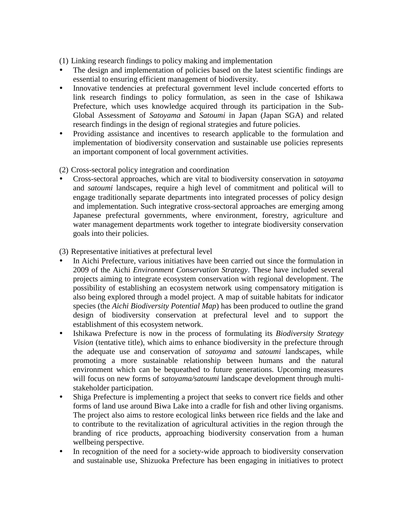(1) Linking research findings to policy making and implementation

- The design and implementation of policies based on the latest scientific findings are essential to ensuring efficient management of biodiversity.
- Innovative tendencies at prefectural government level include concerted efforts to link research findings to policy formulation, as seen in the case of Ishikawa Prefecture, which uses knowledge acquired through its participation in the Sub-Global Assessment of *Satoyama* and *Satoumi* in Japan (Japan SGA) and related research findings in the design of regional strategies and future policies.
- Providing assistance and incentives to research applicable to the formulation and implementation of biodiversity conservation and sustainable use policies represents an important component of local government activities.
- (2) Cross-sectoral policy integration and coordination
- Cross-sectoral approaches, which are vital to biodiversity conservation in *satoyama* and *satoumi* landscapes, require a high level of commitment and political will to engage traditionally separate departments into integrated processes of policy design and implementation. Such integrative cross-sectoral approaches are emerging among Japanese prefectural governments, where environment, forestry, agriculture and water management departments work together to integrate biodiversity conservation goals into their policies.

(3) Representative initiatives at prefectural level

- In Aichi Prefecture, various initiatives have been carried out since the formulation in 2009 of the Aichi *Environment Conservation Strategy*. These have included several projects aiming to integrate ecosystem conservation with regional development. The possibility of establishing an ecosystem network using compensatory mitigation is also being explored through a model project. A map of suitable habitats for indicator species (the *Aichi Biodiversity Potential Map*) has been produced to outline the grand design of biodiversity conservation at prefectural level and to support the establishment of this ecosystem network.
- Ishikawa Prefecture is now in the process of formulating its *Biodiversity Strategy Vision* (tentative title), which aims to enhance biodiversity in the prefecture through the adequate use and conservation of *satoyama* and *satoumi* landscapes, while promoting a more sustainable relationship between humans and the natural environment which can be bequeathed to future generations. Upcoming measures will focus on new forms of *satoyama/satoumi* landscape development through multistakeholder participation.
- Shiga Prefecture is implementing a project that seeks to convert rice fields and other forms of land use around Biwa Lake into a cradle for fish and other living organisms. The project also aims to restore ecological links between rice fields and the lake and to contribute to the revitalization of agricultural activities in the region through the branding of rice products, approaching biodiversity conservation from a human wellbeing perspective.
- In recognition of the need for a society-wide approach to biodiversity conservation and sustainable use, Shizuoka Prefecture has been engaging in initiatives to protect